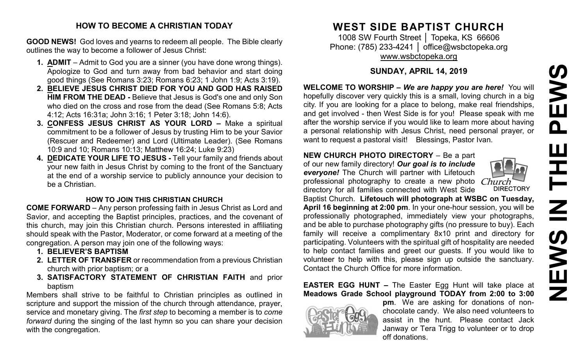# **NEWS IN THE PEWS**PEWS HH H **SVEWS**

#### **HOW TO BECOME A CHRISTIAN TODAY**

**GOOD NEWS!** God loves and yearns to redeem all people. The Bible clearly outlines the way to become a follower of Jesus Christ:

- **1. ADMIT** Admit to God you are a sinner (you have done wrong things). Apologize to God and turn away from bad behavior and start doing good things (See Romans 3:23; Romans 6:23; 1 John 1:9; Acts 3:19).
- **2. BELIEVE JESUS CHRIST DIED FOR YOU AND GOD HAS RAISED HIM FROM THE DEAD -** Believe that Jesus is God's one and only Son who died on the cross and rose from the dead (See Romans 5:8; Acts 4:12; Acts 16:31a; John 3:16; 1 Peter 3:18; John 14:6).
- **3. CONFESS JESUS CHRIST AS YOUR LORD –** Make a spiritual commitment to be a follower of Jesus by trusting Him to be your Savior (Rescuer and Redeemer) and Lord (Ultimate Leader). (See Romans 10:9 and 10; Romans 10:13; Matthew 16:24; Luke 9:23)
- **4. DEDICATE YOUR LIFE TO JESUS -** Tell your family and friends about your new faith in Jesus Christ by coming to the front of the Sanctuary at the end of a worship service to publicly announce your decision to be a Christian.

#### **HOW TO JOIN THIS CHRISTIAN CHURCH**

**COME FORWARD** – Any person professing faith in Jesus Christ as Lord and Savior, and accepting the Baptist principles, practices, and the covenant of this church, may join this Christian church. Persons interested in affiliating should speak with the Pastor, Moderator, or come forward at a meeting of the congregation. A person may join one of the following ways:

- **1. BELIEVER'S BAPTISM**
- **2. LETTER OF TRANSFER** or recommendation from a previous Christian church with prior baptism; or a
- **3. SATISFACTORY STATEMENT OF CHRISTIAN FAITH** and prior baptism

Members shall strive to be faithful to Christian principles as outlined in scripture and support the mission of the church through attendance, prayer, service and monetary giving. The *first step* to becoming a member is to *come forward* during the singing of the last hymn so you can share your decision with the congregation.

# **WEST SIDE BAPTIST CHURCH**

1008 SW Fourth Street | Topeka, KS 66606 Phone: (785) 233-4241 │ [office@wsbctopeka.org](mailto:office@wsbctopeka.org) [www.wsbctopeka.org](http://www.wsbctopeka.org/)

# **SUNDAY, APRIL 14, 2019**

**WELCOME TO WORSHIP –** *We are happy you are here!* You will hopefully discover very quickly this is a small, loving church in a big city. If you are looking for a place to belong, make real friendships, and get involved - then West Side is for you! Please speak with me after the worship service if you would like to learn more about having a personal relationship with Jesus Christ, need personal prayer, or want to request a pastoral visit! Blessings, Pastor Ivan.

#### **NEW CHURCH PHOTO DIRECTORY** – Be a part

of our new family directory! *Our goal is to include everyone!* The Church will partner with Lifetouch professional photography to create a new photo directory for all families connected with West Side



Baptist Church. **Lifetouch will photograph at WSBC on Tuesday, April 16 beginning at 2:00 pm**. In your one-hour session, you will be professionally photographed, immediately view your photographs, and be able to purchase photography gifts (no pressure to buy). Each family will receive a complimentary 8x10 print and directory for participating. Volunteers with the spiritual gift of hospitality are needed to help contact families and greet our guests. If you would like to volunteer to help with this, please sign up outside the sanctuary. Contact the Church Office for more information.

# **EASTER EGG HUNT –** The Easter Egg Hunt will take place at **Meadows Grade School playground TODAY from 2:00 to 3:00**



**pm**. We are asking for donations of nonchocolate candy. We also need volunteers to assist in the hunt. Please contact Jack Janway or Tera Trigg to volunteer or to drop off donations.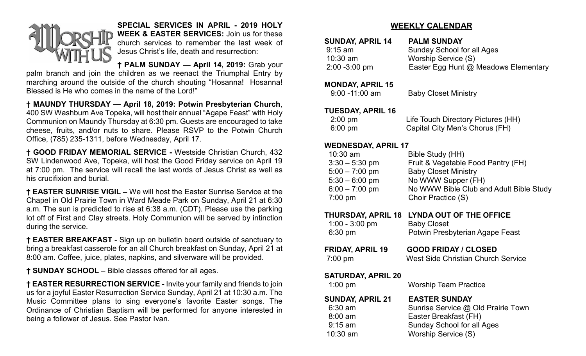

**SPECIAL SERVICES IN APRIL - 2019 HOLY WEEK & EASTER SERVICES:** Join us for these church services to remember the last week of Jesus Christ's life, death and resurrection:

# **† PALM SUNDAY — April 14, 2019:** Grab your

palm branch and join the children as we reenact the Triumphal Entry by marching around the outside of the church shouting "Hosanna! Hosanna! Blessed is He who comes in the name of the Lord!"

**† MAUNDY THURSDAY — April 18, 2019: Potwin Presbyterian Church**, 400 SW Washburn Ave Topeka, will host their annual "Agape Feast" with Holy Communion on Maundy Thursday at 6:30 pm. Guests are encouraged to take cheese, fruits, and/or nuts to share. Please RSVP to the Potwin Church Office, (785) 235-1311, before Wednesday, April 17.

**† GOOD FRIDAY MEMORIAL SERVICE -** Westside Christian Church, 432 SW Lindenwood Ave, Topeka, will host the Good Friday service on April 19 at 7:00 pm. The service will recall the last words of Jesus Christ as well as his crucifixion and burial.

**† EASTER SUNRISE VIGIL –** We will host the Easter Sunrise Service at the Chapel in Old Prairie Town in Ward Meade Park on Sunday, April 21 at 6:30 a.m. The sun is predicted to rise at 6:38 a.m. (CDT). Please use the parking lot off of First and Clay streets. Holy Communion will be served by intinction during the service.

**† EASTER BREAKFAST** - Sign up on bulletin board outside of sanctuary to bring a breakfast casserole for an all Church breakfast on Sunday, April 21 at 8:00 am. Coffee, juice, plates, napkins, and silverware will be provided.

**† SUNDAY SCHOOL** – Bible classes offered for all ages.

**† EASTER RESURRECTION SERVICE -** Invite your family and friends to join us for a joyful Easter Resurrection Service Sunday, April 21 at 10:30 a.m. The Music Committee plans to sing everyone's favorite Easter songs. The Ordinance of Christian Baptism will be performed for anyone interested in being a follower of Jesus. See Pastor Ivan.

# **WEEKLY CALENDAR**

| <b>SUNDAY, APRIL 14</b> | <b>PALM SUNDAY</b>                   |
|-------------------------|--------------------------------------|
| $9:15$ am               | <b>Sunday School for all Ages</b>    |
| $10:30$ am              | Worship Service (S)                  |
| $2:00 - 3:00$ pm        | Easter Egg Hunt @ Meadows Elementary |

#### **MONDAY, APRIL 15**

| $9:00 - 11:00$ am | <b>Baby Closet Ministry</b> |
|-------------------|-----------------------------|
|-------------------|-----------------------------|

#### **TUESDAY, APRIL 16**

| 2:00 pm | Life Touch Directory Pictures (HH) |
|---------|------------------------------------|
| 6:00 pm | Capital City Men's Chorus (FH)     |

# **WEDNESDAY, APRIL 17**

| $10:30$ am       | Bible Study (HH)                        |
|------------------|-----------------------------------------|
| $3:30 - 5:30$ pm | Fruit & Vegetable Food Pantry (FH)      |
| $5:00 - 7:00$ pm | <b>Baby Closet Ministry</b>             |
| $5:30 - 6:00$ pm | No WWW Supper (FH)                      |
| $6:00 - 7:00$ pm | No WWW Bible Club and Adult Bible Study |
| $7:00$ pm        | Choir Practice (S)                      |
|                  |                                         |

#### **THURSDAY, APRIL 18 LYNDA OUT OF THE OFFICE**

| $1:00 - 3:00$ pm        | <b>Baby Closet</b>                        |  |  |
|-------------------------|-------------------------------------------|--|--|
| $6:30$ pm               | Potwin Presbyterian Agape Feast           |  |  |
| <b>FRIDAY, APRIL 19</b> | <b>GOOD FRIDAY / CLOSED</b>               |  |  |
| $7:00 \text{ pm}$       | <b>West Side Christian Church Service</b> |  |  |

# **SATURDAY, APRIL 20**

| $1:00$ pm               | <b>Worship Team Practice</b>       |
|-------------------------|------------------------------------|
| <b>SUNDAY, APRIL 21</b> | <b>EASTER SUNDAY</b>               |
| $6:30$ am               | Sunrise Service @ Old Prairie Town |
| $8:00$ am               | Easter Breakfast (FH)              |
| $9:15$ am               | <b>Sunday School for all Ages</b>  |
| $10:30$ am              | Worship Service (S)                |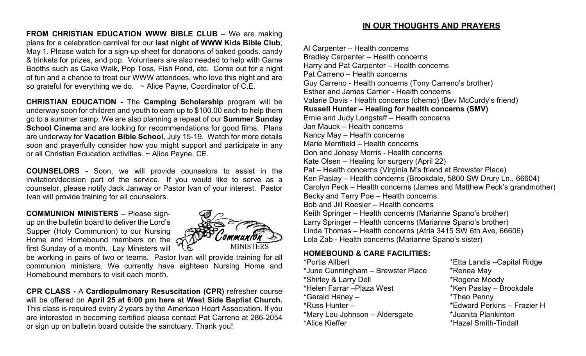**FROM CHRISTIAN EDUCATION WWW BIBLE CLUB** – We are making plans for a celebration carnival for our **last night of WWW Kids Bible Club**, May 1. Please watch for a sign-up sheet for donations of baked goods, candy & trinkets for prizes, and pop. Volunteers are also needed to help with Game Booths such as Cake Walk, Pop Toss, Fish Pond, etc. Come out for a night of fun and a chance to treat our WWW attendees, who love this night and are so grateful for everything we do.  $\sim$  Alice Payne, Coordinator of C.E.

**CHRISTIAN EDUCATION -** The **Camping Scholarship** program will be underway soon for children and youth to earn up to \$100.00 each to help them go to a summer camp. We are also planning a repeat of our **Summer Sunday School Cinema** and are looking for recommendations for good films. Plans are underway for **Vacation Bible School**, July 15-19. Watch for more details soon and prayerfully consider how you might support and participate in any or all Christian Education activities. ~ Alice Payne, CE.

**COUNSELORS -** Soon, we will provide counselors to assist in the invitation/decision part of the service. If you would like to serve as a counselor, please notify Jack Janway or Pastor Ivan of your interest. Pastor Ivan will provide training for all counselors.

**COMMUNION MINISTERS –** Please signup on the bulletin board to deliver the Lord's Supper (Holy Communion) to our Nursing Home and Homebound members on the  $\epsilon$ first Sunday of a month. Lay Ministers will



be working in pairs of two or teams. Pastor Ivan will provide training for all communion ministers. We currently have eighteen Nursing Home and Homebound members to visit each month.

**CPR CLASS -** A **Cardiopulmonary Resuscitation (CPR)** refresher course will be offered on **April 25 at 6:00 pm here at West Side Baptist Church.** This class is required every 2 years by the American Heart Association. If you are interested in becoming certified please contact Pat Carreno at 286-2054 or sign up on bulletin board outside the sanctuary. Thank you!

# **IN OUR THOUGHTS AND PRAYERS**

Al Carpenter – Health concerns Bradley Carpenter – Health concerns Harry and Pat Carpenter – Health concerns Pat Carreno – Health concerns Guy Carreno - Health concerns (Tony Carreno's brother) Esther and James Carrier - Health concerns Valarie Davis - Health concerns (chemo) (Bev McCurdy's friend) **Russell Hunter – Healing for health concerns (SMV)** Ernie and Judy Longstaff – Health concerns Jan Mauck – Health concerns Nancy May – Health concerns Marie Merrifield – Health concerns Don and Jonesy Morris - Health concerns Kate Olsen – Healing for surgery (April 22) Pat – Health concerns (Virginia M's friend at Brewster Place) Ken Paslay – Health concerns (Brookdale, 5800 SW Drury Ln., 66604) Carolyn Peck – Health concerns (James and Matthew Peck's grandmother) Becky and Terry Poe – Health concerns Bob and Jill Roesler – Health concerns Keith Springer – Health concerns (Marianne Spano's brother) Larry Springer – Health concerns (Marianne Spano's brother) Linda Thomas – Health concerns (Atria 3415 SW 6th Ave, 66606) Lola Zab - Health concerns (Marianne Spano's sister)

#### **HOMEBOUND & CARE FACILITIES:**

\*June Cunningham – Brewster Place \* \* Renea May \*Shirley & Larry Dell \*Rogene Moody \*Gerald Haney – \*Theo Penny \*Russ Hunter – \*Edward Perkins – Frazier H \*Mary Lou Johnson – Aldersgate \*Juanita Plankinton \*Alice Kieffer \*Hazel Smith-Tindall

\*Portia Allbert \*Etta Landis –Capital Ridge \*Ken Paslay – Brookdale